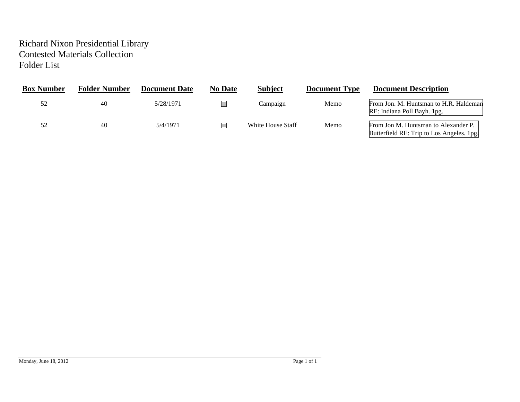## Richard Nixon Presidential Library Contested Materials Collection Folder List

| <b>Box Number</b> | <b>Folder Number</b> | <b>Document Date</b> | <b>No Date</b> | <b>Subject</b>    | <b>Document Type</b> | <b>Document Description</b>                                                       |
|-------------------|----------------------|----------------------|----------------|-------------------|----------------------|-----------------------------------------------------------------------------------|
|                   | 40                   | 5/28/1971            |                | Campaign          | Memo                 | From Jon. M. Huntsman to H.R. Haldeman<br>RE: Indiana Poll Bayh. 1pg.             |
|                   | 40                   | 5/4/1971             |                | White House Staff | Memo                 | From Jon M. Huntsman to Alexander P.<br>Butterfield RE: Trip to Los Angeles. 1pg. |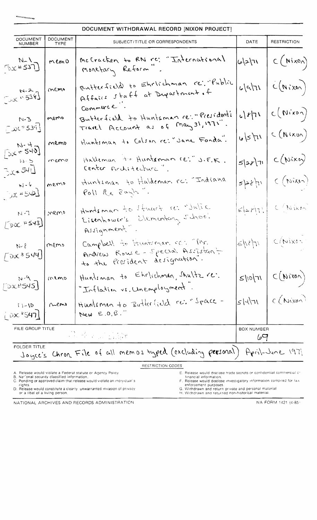|                                             |                                | DOCUMENT WITHDRAWAL RECORD [NIXON PROJECT]                                                        |                          |                                                                                |
|---------------------------------------------|--------------------------------|---------------------------------------------------------------------------------------------------|--------------------------|--------------------------------------------------------------------------------|
| <b>DOCUMENT</b><br><b>NUMBER</b>            | <b>DOCUMENT</b><br><b>TYPE</b> | SUBJECT/TITLE OR CORRESPONDENTS                                                                   |                          | <b>RESTRICTION</b>                                                             |
| $\left[\frac{N-1}{DX*537}\right]$ memo      |                                | McCracken to RN rc: "International<br>monetary Reform".                                           |                          | $ 6 2 71 $ $C(Mix0)$                                                           |
| $N-2$<br>$N-2$<br>$N-338$                   |                                | Butterfield to Ehrlichman re: "Public )                                                           |                          | c c                                                                            |
| $N.3$<br>$N.3$ memo                         |                                | Commune<br>Butterfield to Huntsman re: "Presidents                                                |                          | $c \mathbf{r} $ $\mathbf{r}$ $\begin{pmatrix} c(w & w) \\ w & w \end{pmatrix}$ |
| $N-4$ memo                                  |                                | Huntsman to Colson re: "Jane Fonda".                                                              | u/s                      | C(Nixin)                                                                       |
| But SHI remo                                |                                | Halleman to Hunteman re: J.F.K.                                                                   | 5 2r 1                   | C(Nixo)                                                                        |
| $2x+542$ memo                               |                                | Huntiman to Haldeman rc: "Indiana<br>Poll Re Bayli".                                              |                          | $s$ pstri $\int c$ (Nixe)                                                      |
| $\left[\frac{500 \times 4543}{2000}\right]$ |                                | Huntsman to Huart re: "Julie                                                                      |                          | $\left \epsilon z\gamma(r)\right  \leq (N\kappa r)^2$                          |
| $N-1$<br>$[OK*544]$ meno                    |                                | Campbell to Huntiman con Mr.<br>Andrew Rowse - Special Assistant<br>to the President designation. |                          | $s w $ $(c(w)x0)^{-1}$                                                         |
| $\lceil$ 2x2545                             | memo                           | Hunteman to Ehrlichman, Shultz re.<br>"Inflation vs. Unemployment.                                | 5110/71                  | C(N100)                                                                        |
| $1 - 10$<br>100 <sup>2</sup> 547            | $n$ emo                        | Hunteman to Butterfield re: "Space -<br>New $E.0.\overline{S}$ ."                                 | 51471                    | C(Nixon)                                                                       |
| FILE GROUP TITLE                            |                                |                                                                                                   | <b>BOX NUMBER</b><br>ڪها |                                                                                |
| <b>FOLDER TITLE</b>                         |                                | Joyce's Chron. File of all memos typed (excluding personal)                                       |                          | April-June 1971                                                                |
|                                             |                                | RESTRICTION CODES                                                                                 |                          |                                                                                |

D. Release would constitute a clearly lunwarranted invasion of privacy G, Withdrawn and return private and personal material.<br>Or a libel of a living person. Withdrawn and returned non-historical material.

NATIONAL ARCHIVES AND RECORDS ADMINISTRATION NATION NA FORM 1421 (4-85)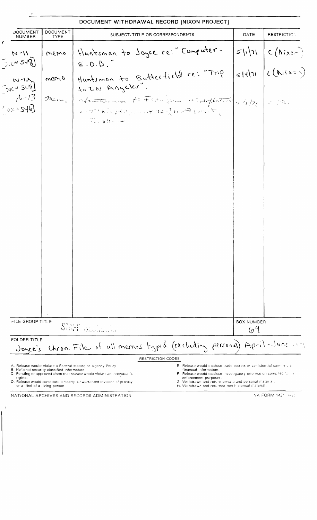| <b>DOCUMENT</b><br><b>NUMBER</b>                                    | DOCUMENT<br><b>TYPE</b> | SUBJECT/TITLE OR CORRESPONDENTS                                                                                                                                               | DATE              | RESTRICTICN                                                                            |
|---------------------------------------------------------------------|-------------------------|-------------------------------------------------------------------------------------------------------------------------------------------------------------------------------|-------------------|----------------------------------------------------------------------------------------|
| $N - 11$<br>$\mathcal{L}_{\text{D}}(x) = \mathcal{L}_{\text{D}}(x)$ | memo                    | Huntsman to Joyce re: "Computer-<br>E.0.B.                                                                                                                                    |                   | $S\left \frac{1}{2}\right $<br>$S\left \frac{1}{2}\right $ $C\left(\frac{N}{2}\right)$ |
| $N - 12$<br>7,000549                                                | memo                    | Huntsman to Butterfield re: "Trip<br>10 LOS Angeles"                                                                                                                          |                   |                                                                                        |
| $1 - 13$<br>1001546                                                 |                         | mene Afantonin fortion for wideflated s/s/21 3/200.<br>$\mathcal{L}_{\mathcal{L}}=\mathcal{L}_{\mathcal{L}}\left(\mathcal{L}_{\mathcal{L}}\right)$<br>$\mathbb{C}$ , filework |                   |                                                                                        |
|                                                                     |                         |                                                                                                                                                                               |                   |                                                                                        |
|                                                                     |                         |                                                                                                                                                                               |                   |                                                                                        |
|                                                                     |                         |                                                                                                                                                                               |                   |                                                                                        |
|                                                                     |                         |                                                                                                                                                                               |                   |                                                                                        |
|                                                                     |                         |                                                                                                                                                                               |                   |                                                                                        |
|                                                                     |                         |                                                                                                                                                                               |                   |                                                                                        |
| FILE GROUP TITLE                                                    |                         |                                                                                                                                                                               | <b>BOX NUMBER</b> |                                                                                        |
|                                                                     |                         | SHAT SECRETARY                                                                                                                                                                | 69                |                                                                                        |
| <b>FOLDER TITLE</b><br>Joyce's                                      |                         | Chron. File of all memos typed (excluding personal) April-June 1071<br>RESTRICTION CODES                                                                                      |                   |                                                                                        |

NATIONAL ARCHIVES AND RECORDS ADMINISTRATION

 $\langle \rangle$ ł

NA FORM 1421 4-55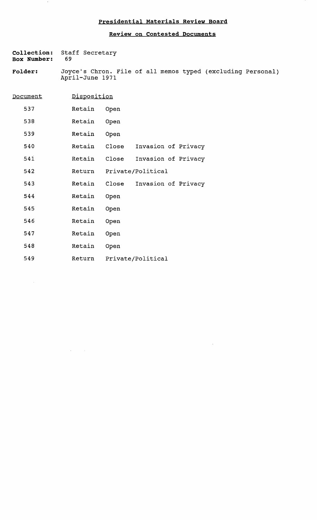## **Presidential Materials Review Board**

## **Review on Contested Documents**

 $\bar{\lambda}$ 

|                    |      | Collection: Staff Secretary |
|--------------------|------|-----------------------------|
| <b>Box Number:</b> | - 69 |                             |

 $\bar{\gamma}$ 

 $\bar{\gamma}$ 

 $\mathcal{L}^{\text{max}}_{\text{max}}$ 

**Folder:**  Joyce's Chron. File of all memos typed (excluding Personal) April-June 1971

| <u>Document</u> | Disposition |                   |                     |  |
|-----------------|-------------|-------------------|---------------------|--|
| 537             | Retain      | Open              |                     |  |
| 538             | Retain      | Open              |                     |  |
| 539             | Retain      | Open              |                     |  |
| 540             | Retain      | Close             | Invasion of Privacy |  |
| 541             | Retain      | Close             | Invasion of Privacy |  |
| 542             | Return      | Private/Political |                     |  |
| 543             | Retain      | Close             | Invasion of Privacy |  |
| 544             | Retain      | Open              |                     |  |
| 545             | Retain      | Open              |                     |  |
| 546             | Retain      | Open              |                     |  |
| 547             | Retain      | Open              |                     |  |
| 548             | Retain      | Open              |                     |  |
| 549             | Return      |                   | Private/Political   |  |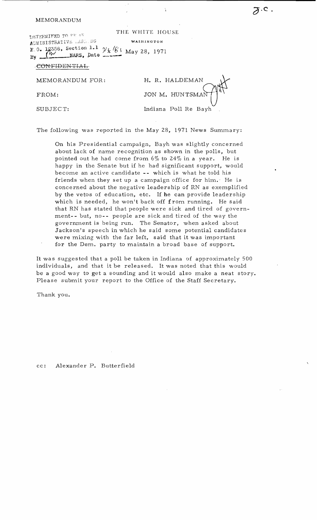MEMORANDUM

<span id="page-4-0"></span>ADMINISTRATIVE MARK NG THE WHITE HOUSE WASHINGTON *'C.'* 0 1~356 section 1.1 ')/z~ If' I ~. ., . 4 f') 1 Ma <sup>y</sup>28, 197 1 <sup>13</sup>'1 \_\_---NARS. pate ----

CONFIDENTIAL<br>MEMORANDUM FOR: H. R. HALDEMAN  $FROM:$  JON M. HUNTSMA SUBJECT: Indiana Poll Re Bayh

 $\Delta$ 

 $\overline{\partial}$ .c.

The following was reported in the May 28, 1971 News Summary:

On his Presidential campaign, Bayh was slightly concerned about lack of name recognition as shown in the polls, but pointed out he had come from  $6\%$  to  $24\%$  in a year. He is happy in the Senate but if he had significant support, would become an active candidate -- which is what he told his friends when they set up a campaign office for him.' He is concerned about the negative leadership of RN as exemplified by the vetos of education, etc. If he can provide leadership which is needed, he won't back off from running. He said that RN has stated that people were sick and tired of government- - but, no- - people are sick and tired of the way the government is being run. The Senator, when asked about Jackson's speech in which he said some potential candidates were mixing with the far left, said that it was important for the Dem. party to maintain a broad base of support.

It was suggested that a poll be taken in Indiana of approximately 500 individuals, and that it be released. It was noted that this would be a good *way* to get a sounding and it would also make a neat story. Please submit your report to the Office of the Staff Secretary.

Thank you.

cc: Alexander Butterfield